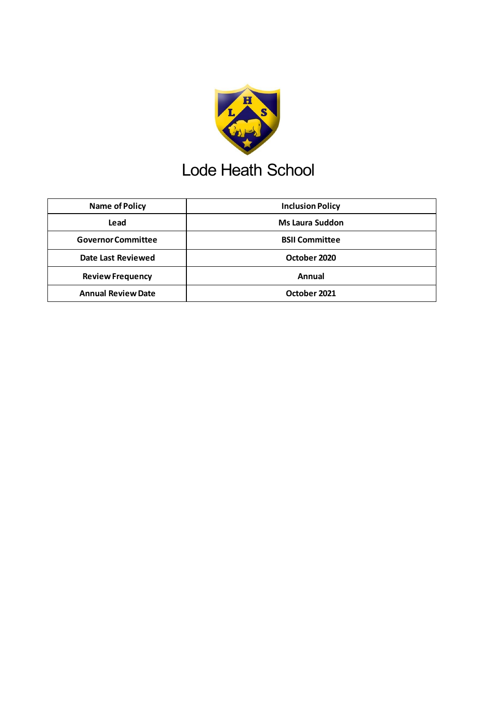

## Lode Heath School

| <b>Name of Policy</b>     | <b>Inclusion Policy</b> |
|---------------------------|-------------------------|
| Lead                      | <b>Ms Laura Suddon</b>  |
| <b>Governor Committee</b> | <b>BSII Committee</b>   |
| <b>Date Last Reviewed</b> | October 2020            |
| <b>Review Frequency</b>   | Annual                  |
| <b>Annual Review Date</b> | October 2021            |